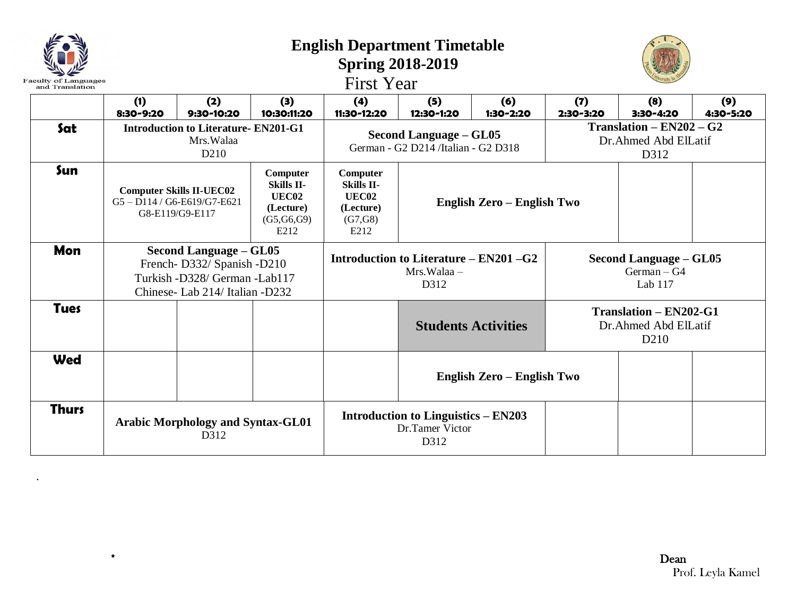| <b>Faculty of Languages</b><br>and Translation |                                                                                                                                                                          |                                                                               |                    | <b>English Department Timetable</b><br><b>First Year</b>               | <b>Spring 2018-2019</b>                                              |                            |                                                                           |                                                            |                  |  |
|------------------------------------------------|--------------------------------------------------------------------------------------------------------------------------------------------------------------------------|-------------------------------------------------------------------------------|--------------------|------------------------------------------------------------------------|----------------------------------------------------------------------|----------------------------|---------------------------------------------------------------------------|------------------------------------------------------------|------------------|--|
|                                                | (1)<br>8:30-9:20                                                                                                                                                         | (2)<br>9:30-10:20                                                             | (3)<br>10:30:11:20 | (4)<br>11:30-12:20                                                     | (5)<br>12:30-1:20                                                    | (6)<br>1:30-2:20           | (7)<br>2:30-3:20                                                          | (8)<br>3:30-4:20                                           | (9)<br>4:30-5:20 |  |
| Sat                                            |                                                                                                                                                                          | <b>Introduction to Literature- EN201-G1</b><br>Mrs. Walaa<br>D <sub>210</sub> |                    |                                                                        | <b>Second Language - GL05</b><br>German - G2 D214 /Italian - G2 D318 |                            |                                                                           | $Translation - EN202 - G2$<br>Dr.Ahmed Abd ElLatif<br>D312 |                  |  |
| Sun                                            | Computer<br><b>Skills II-</b><br><b>Computer Skills II-UEC02</b><br>UEC <sub>02</sub><br>G5-D114/G6-E619/G7-E621<br>(Lecture)<br>G8-E119/G9-E117<br>(G5, G6, G9)<br>E212 |                                                                               |                    | Computer<br><b>Skills II-</b><br>UEC02<br>(Lecture)<br>(G7,G8)<br>E212 | English Zero - English Two                                           |                            |                                                                           |                                                            |                  |  |
| Mon                                            | <b>Second Language – GL05</b><br>French-D332/ Spanish -D210<br>Turkish -D328/ German -Lab117<br>Chinese- Lab 214/ Italian -D232                                          |                                                                               |                    | Introduction to Literature – EN201 –G2<br>Mrs. Walaa –<br>D312         |                                                                      |                            | Second Language – GL05<br>$German - G4$<br>Lab $117$                      |                                                            |                  |  |
| <b>Tues</b>                                    |                                                                                                                                                                          |                                                                               |                    |                                                                        |                                                                      | <b>Students Activities</b> | <b>Translation - EN202-G1</b><br>Dr.Ahmed Abd ElLatif<br>D <sub>210</sub> |                                                            |                  |  |
| <b>Wed</b>                                     |                                                                                                                                                                          |                                                                               |                    |                                                                        |                                                                      | English Zero - English Two |                                                                           |                                                            |                  |  |
| <b>Thurs</b>                                   |                                                                                                                                                                          | <b>Arabic Morphology and Syntax-GL01</b><br>D312                              |                    | <b>Introduction to Linguistics – EN203</b><br>Dr.Tamer Victor<br>D312  |                                                                      |                            |                                                                           |                                                            |                  |  |

.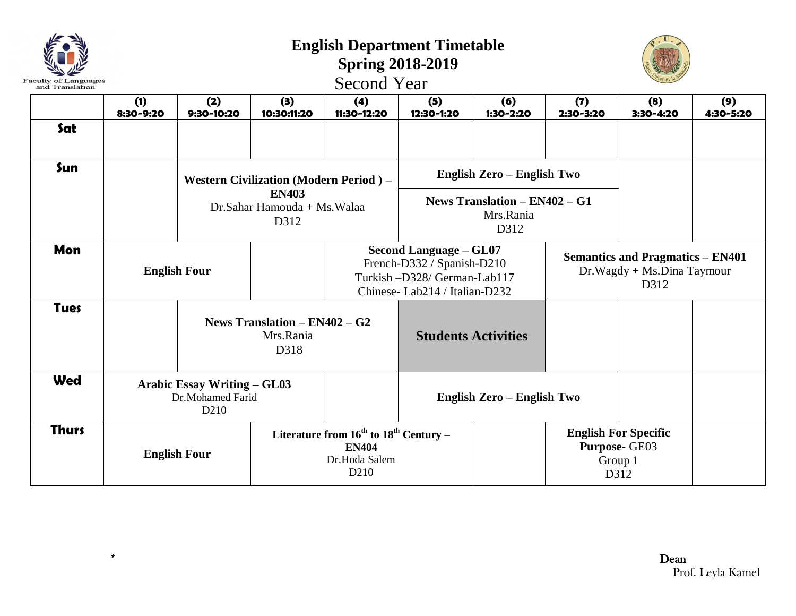| <b>Faculty of Languages</b> |                                                                            |                                                        |                                                     | <b>English Department Timetable</b><br><b>Spring 2018-2019</b><br><b>Second Year</b>                                       |                            |                            |                  |                                                                               |                  |  |
|-----------------------------|----------------------------------------------------------------------------|--------------------------------------------------------|-----------------------------------------------------|----------------------------------------------------------------------------------------------------------------------------|----------------------------|----------------------------|------------------|-------------------------------------------------------------------------------|------------------|--|
| and Translation             | (1)<br>8:30-9:20                                                           | (2)<br>9:30-10:20                                      | (3)<br>10:30:11:20                                  | (4)<br>11:30-12:20                                                                                                         | (5)<br>12:30-1:20          | (6)<br>1:30-2:20           | (7)<br>2:30-3:20 | (8)<br>3:30-4:20                                                              | (9)<br>4:30-5:20 |  |
| Sat                         |                                                                            |                                                        |                                                     |                                                                                                                            |                            |                            |                  |                                                                               |                  |  |
| Sun                         |                                                                            |                                                        | Western Civilization (Modern Period) -              |                                                                                                                            | English Zero - English Two |                            |                  |                                                                               |                  |  |
|                             |                                                                            |                                                        | <b>EN403</b><br>Dr.Sahar Hamouda + Ms.Walaa<br>D312 | News Translation $-$ EN402 $-$ G1<br>Mrs.Rania<br>D312                                                                     |                            |                            |                  |                                                                               |                  |  |
| Mon                         | <b>English Four</b>                                                        |                                                        |                                                     | <b>Second Language - GL07</b><br>French-D332 / Spanish-D210<br>Turkish-D328/German-Lab117<br>Chinese-Lab214 / Italian-D232 |                            |                            |                  | <b>Semantics and Pragmatics - EN401</b><br>Dr.Wagdy + Ms.Dina Taymour<br>D312 |                  |  |
| <b>Tues</b>                 |                                                                            | News Translation $-$ EN402 $-$ G2<br>Mrs.Rania<br>D318 |                                                     |                                                                                                                            |                            | <b>Students Activities</b> |                  |                                                                               |                  |  |
| Wed                         | <b>Arabic Essay Writing - GL03</b><br>Dr.Mohamed Farid<br>D <sub>210</sub> |                                                        |                                                     |                                                                                                                            | English Zero - English Two |                            |                  |                                                                               |                  |  |
| <b>Thurs</b>                | <b>English Four</b>                                                        |                                                        |                                                     | Literature from $16^{th}$ to $18^{th}$ Century –<br><b>EN404</b><br>Dr.Hoda Salem<br>D <sub>210</sub>                      |                            |                            |                  | <b>English For Specific</b><br>Purpose- GE03<br>Group 1<br>D312               |                  |  |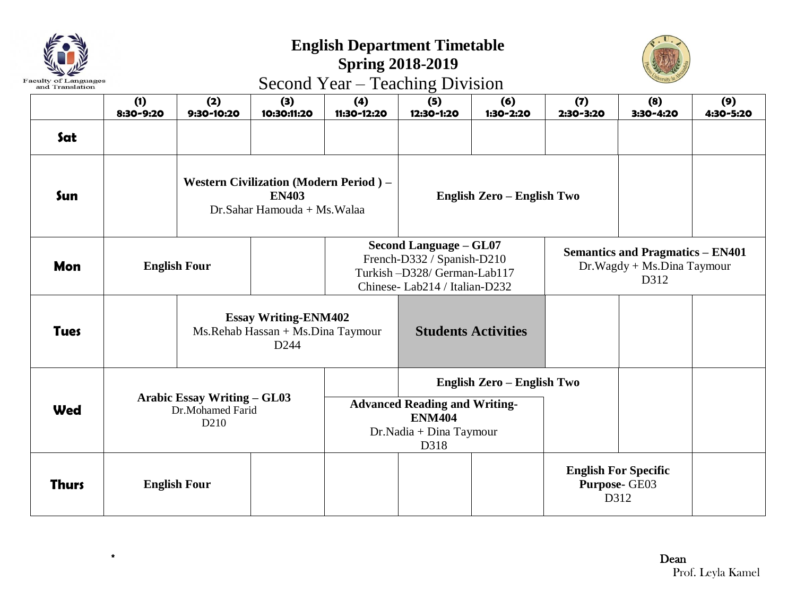| Faculty of Languages<br>and Translation |  |
|-----------------------------------------|--|

## **English Department Timetable**

## **Spring 2018-2019** Second Year – Teaching Division



|              | (1)<br>8:30-9:20 | (2)<br>9:30-10:20                                                          | (3)<br>10:30:11:20                                                                           | (4)<br>11:30-12:20 | (5)<br>12:30-1:20                                                                                                          | (6)<br>1:30-2:20           | (7)<br>2:30-3:20                                                              | (8)<br>3:30-4:20 | (9)<br>4:30-5:20 |
|--------------|------------------|----------------------------------------------------------------------------|----------------------------------------------------------------------------------------------|--------------------|----------------------------------------------------------------------------------------------------------------------------|----------------------------|-------------------------------------------------------------------------------|------------------|------------------|
| Sat          |                  |                                                                            |                                                                                              |                    |                                                                                                                            |                            |                                                                               |                  |                  |
| Sun          |                  |                                                                            | <b>Western Civilization (Modern Period)</b> –<br><b>EN403</b><br>Dr.Sahar Hamouda + Ms.Walaa |                    |                                                                                                                            | English Zero - English Two |                                                                               |                  |                  |
| <b>Mon</b>   |                  | <b>English Four</b>                                                        |                                                                                              |                    | <b>Second Language - GL07</b><br>French-D332 / Spanish-D210<br>Turkish-D328/German-Lab117<br>Chinese-Lab214 / Italian-D232 |                            | <b>Semantics and Pragmatics - EN401</b><br>Dr.Wagdy + Ms.Dina Taymour<br>D312 |                  |                  |
| <b>Tues</b>  |                  |                                                                            | <b>Essay Writing-ENM402</b><br>Ms.Rehab Hassan + Ms.Dina Taymour<br>D <sub>244</sub>         |                    | <b>Students Activities</b>                                                                                                 |                            |                                                                               |                  |                  |
| <b>Wed</b>   |                  | <b>Arabic Essay Writing - GL03</b><br>Dr.Mohamed Farid<br>D <sub>210</sub> |                                                                                              |                    | English Zero - English Two<br><b>Advanced Reading and Writing-</b><br><b>ENM404</b><br>Dr.Nadia + Dina Taymour<br>D318     |                            |                                                                               |                  |                  |
| <b>Thurs</b> |                  | <b>English Four</b>                                                        |                                                                                              |                    |                                                                                                                            |                            | <b>English For Specific</b><br>Purpose- GE03<br>D312                          |                  |                  |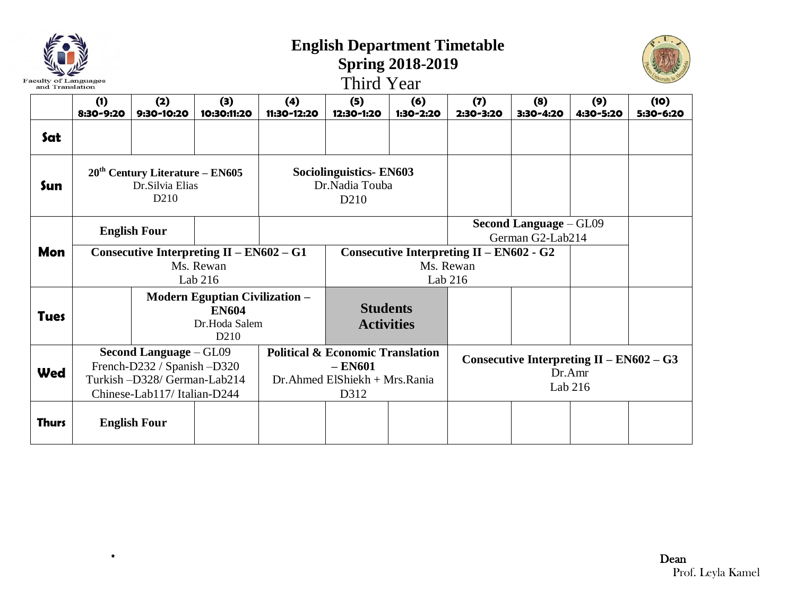| Faculty<br>and Translation |                                                                                                                              |                                                                                            |                                                                      |                    | <b>English Department Timetable</b><br>Third Year                                                   | <b>Spring 2018-2019</b>              |                                                                    |                  |                  |                   |
|----------------------------|------------------------------------------------------------------------------------------------------------------------------|--------------------------------------------------------------------------------------------|----------------------------------------------------------------------|--------------------|-----------------------------------------------------------------------------------------------------|--------------------------------------|--------------------------------------------------------------------|------------------|------------------|-------------------|
|                            | (1)<br>8:30-9:20                                                                                                             | (2)<br>9:30-10:20                                                                          | (3)<br>10:30:11:20                                                   | (4)<br>11:30-12:20 | (5)<br>12:30-1:20                                                                                   | (6)<br>1:30-2:20                     | (7)<br>2:30-3:20                                                   | (8)<br>3:30-4:20 | (9)<br>4:30-5:20 | (10)<br>5:30-6:20 |
| Sat                        |                                                                                                                              |                                                                                            |                                                                      |                    |                                                                                                     |                                      |                                                                    |                  |                  |                   |
| Sun                        |                                                                                                                              | $20th$ Century Literature – EN605<br>Dr.Silvia Elias<br>D <sub>210</sub>                   |                                                                      |                    | <b>Sociolinguistics-EN603</b><br>Dr.Nadia Touba<br>D <sub>210</sub>                                 |                                      |                                                                    |                  |                  |                   |
|                            |                                                                                                                              | <b>English Four</b>                                                                        |                                                                      |                    |                                                                                                     |                                      |                                                                    |                  |                  |                   |
| Mon                        |                                                                                                                              |                                                                                            | Consecutive Interpreting $II - EN602 - G1$<br>Ms. Rewan<br>Lab $216$ |                    |                                                                                                     |                                      | Consecutive Interpreting $II - EN602 - G2$<br>Ms. Rewan<br>Lab 216 |                  |                  |                   |
| <b>Tues</b>                |                                                                                                                              | <b>Modern Eguptian Civilization -</b><br><b>EN604</b><br>Dr.Hoda Salem<br>D <sub>210</sub> |                                                                      |                    |                                                                                                     | <b>Students</b><br><b>Activities</b> |                                                                    |                  |                  |                   |
| <b>Wed</b>                 | <b>Second Language - GL09</b><br>French-D232 / Spanish -D320<br>Turkish -D328/ German-Lab214<br>Chinese-Lab117/ Italian-D244 |                                                                                            |                                                                      |                    | <b>Political &amp; Economic Translation</b><br>$-$ EN601<br>Dr. Ahmed ElShiekh + Mrs. Rania<br>D312 |                                      | Consecutive Interpreting $II - EN602 - G3$<br>Dr.Amr<br>Lab 216    |                  |                  |                   |
| <b>Thurs</b>               |                                                                                                                              | <b>English Four</b>                                                                        |                                                                      |                    |                                                                                                     |                                      |                                                                    |                  |                  |                   |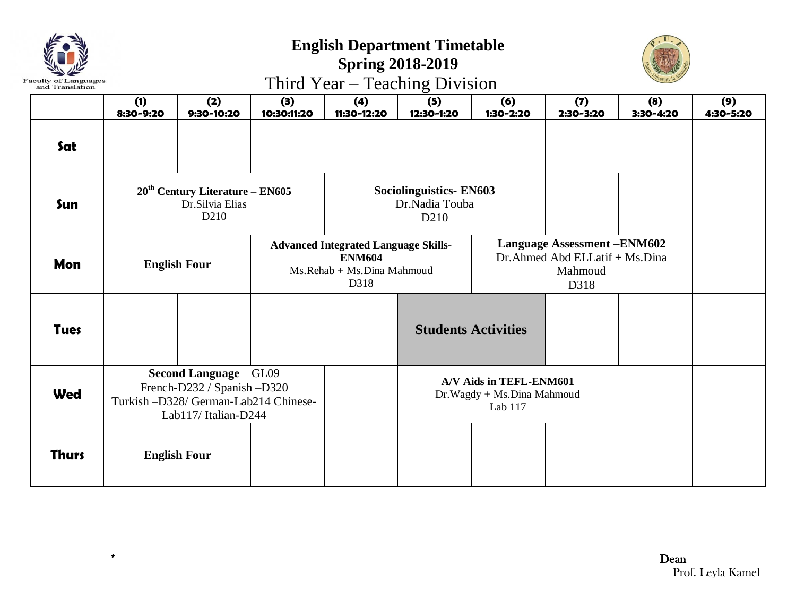

## **English Department Timetable**

## **Spring 2018-2019** Third Year – Teaching Division



|              | (1)<br>8:30-9:20    | (2)<br>9:30-10:20                                                                                                     | (3)<br>10:30:11:20 | (4)<br>11:30-12:20                                                                                 | O<br>(5)<br>12:30-1:20                                               | (6)<br>1:30-2:20           | (7)<br>2:30-3:20                                                                          | (8)<br>3:30-4:20 | (9)<br>4:30-5:20 |
|--------------|---------------------|-----------------------------------------------------------------------------------------------------------------------|--------------------|----------------------------------------------------------------------------------------------------|----------------------------------------------------------------------|----------------------------|-------------------------------------------------------------------------------------------|------------------|------------------|
| Sat          |                     |                                                                                                                       |                    |                                                                                                    |                                                                      |                            |                                                                                           |                  |                  |
| Sun          |                     | $20th$ Century Literature – EN605<br>Dr.Silvia Elias<br>D <sub>210</sub>                                              |                    |                                                                                                    | <b>Sociolinguistics- EN603</b><br>Dr.Nadia Touba<br>D <sub>210</sub> |                            |                                                                                           |                  |                  |
| Mon          | <b>English Four</b> |                                                                                                                       |                    | <b>Advanced Integrated Language Skills-</b><br><b>ENM604</b><br>Ms.Rehab + Ms.Dina Mahmoud<br>D318 |                                                                      |                            | <b>Language Assessment -ENM602</b><br>Dr. Ahmed Abd ELLatif + Ms. Dina<br>Mahmoud<br>D318 |                  |                  |
| <b>Tues</b>  |                     |                                                                                                                       |                    |                                                                                                    |                                                                      | <b>Students Activities</b> |                                                                                           |                  |                  |
| <b>Wed</b>   |                     | Second Language - GL09<br>French-D232 / Spanish -D320<br>Turkish -D328/ German-Lab214 Chinese-<br>Lab117/Italian-D244 |                    |                                                                                                    | A/V Aids in TEFL-ENM601<br>Dr. Wagdy + Ms. Dina Mahmoud<br>Lab 117   |                            |                                                                                           |                  |                  |
| <b>Thurs</b> | <b>English Four</b> |                                                                                                                       |                    |                                                                                                    |                                                                      |                            |                                                                                           |                  |                  |